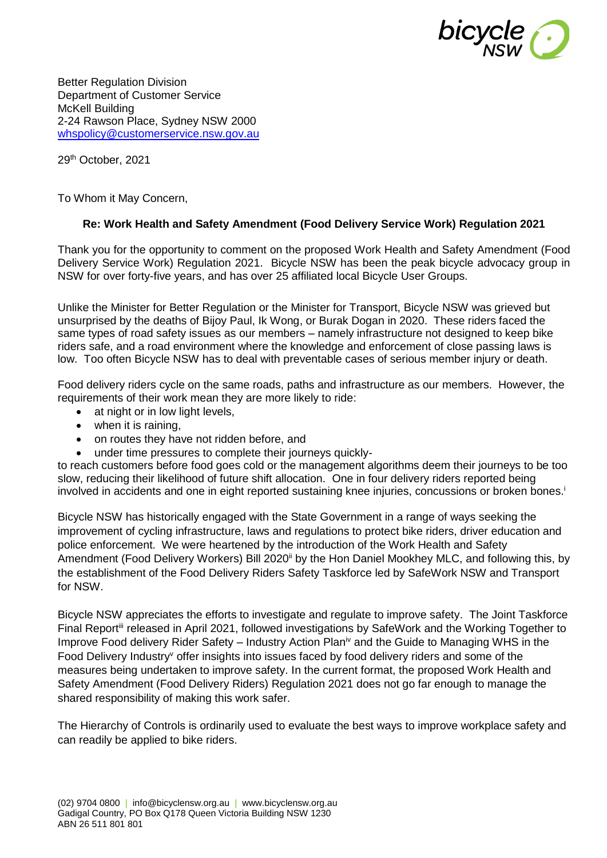

Better Regulation Division Department of Customer Service McKell Building 2-24 Rawson Place, Sydney NSW 2000 [whspolicy@customerservice.nsw.gov.au](mailto:whspolicy@customerservice.nsw.gov.au)

29th October, 2021

To Whom it May Concern,

#### **Re: Work Health and Safety Amendment (Food Delivery Service Work) Regulation 2021**

Thank you for the opportunity to comment on the proposed Work Health and Safety Amendment (Food Delivery Service Work) Regulation 2021. Bicycle NSW has been the peak bicycle advocacy group in NSW for over forty-five years, and has over 25 affiliated local Bicycle User Groups.

Unlike the Minister for Better Regulation or the Minister for Transport, Bicycle NSW was grieved but unsurprised by the deaths of Bijoy Paul, Ik Wong, or Burak Dogan in 2020. These riders faced the same types of road safety issues as our members – namely infrastructure not designed to keep bike riders safe, and a road environment where the knowledge and enforcement of close passing laws is low. Too often Bicycle NSW has to deal with preventable cases of serious member injury or death.

Food delivery riders cycle on the same roads, paths and infrastructure as our members. However, the requirements of their work mean they are more likely to ride:

- at night or in low light levels,
- when it is raining,
- on routes they have not ridden before, and
- under time pressures to complete their journeys quickly-

to reach customers before food goes cold or the management algorithms deem their journeys to be too slow, reducing their likelihood of future shift allocation. One in four delivery riders reported being involved in accidents and one in eight reported sustaining knee injuries, concussions or broken bones.<sup>i</sup>

Bicycle NSW has historically engaged with the State Government in a range of ways seeking the improvement of cycling infrastructure, laws and regulations to protect bike riders, driver education and police enforcement. We were heartened by the introduction of the Work Health and Safety Amendment (Food Delivery Workers) Bill 2020<sup>ii</sup> by the Hon Daniel Mookhey MLC, and following this, by the establishment of the Food Delivery Riders Safety Taskforce led by SafeWork NSW and Transport for NSW.

Bicycle NSW appreciates the efforts to investigate and regulate to improve safety. The Joint Taskforce Final Report<sup>iii</sup> released in April 2021, followed investigations by SafeWork and the Working Together to Improve Food delivery Rider Safety – Industry Action Plan<sup>iv</sup> and the Guide to Managing WHS in the Food Delivery Industry<sup>v</sup> offer insights into issues faced by food delivery riders and some of the measures being undertaken to improve safety. In the current format, the proposed Work Health and Safety Amendment (Food Delivery Riders) Regulation 2021 does not go far enough to manage the shared responsibility of making this work safer.

The Hierarchy of Controls is ordinarily used to evaluate the best ways to improve workplace safety and can readily be applied to bike riders.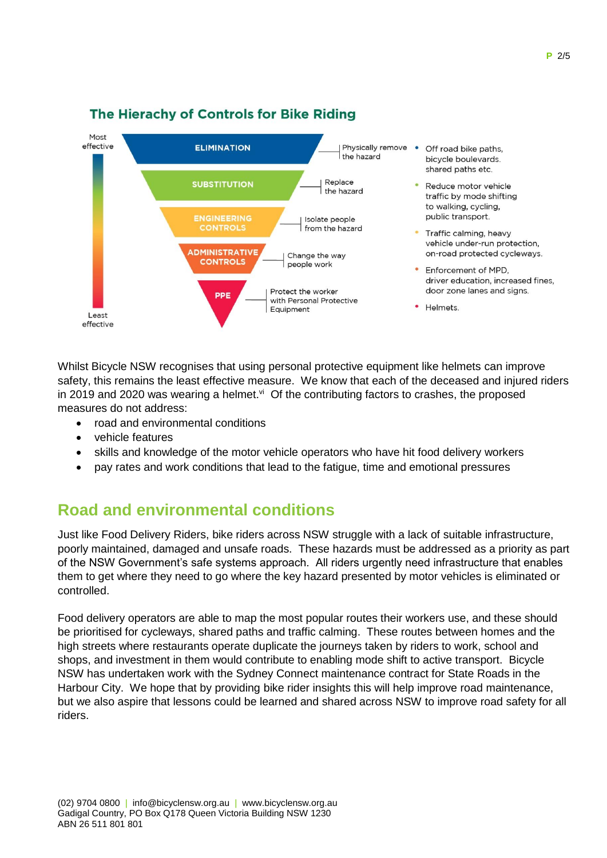

#### The Hierachy of Controls for Bike Riding

Whilst Bicycle NSW recognises that using personal protective equipment like helmets can improve safety, this remains the least effective measure. We know that each of the deceased and injured riders in 2019 and 2020 was wearing a helmet. $\frac{v}{x}$  Of the contributing factors to crashes, the proposed measures do not address:

- road and environmental conditions
- vehicle features
- skills and knowledge of the motor vehicle operators who have hit food delivery workers
- pay rates and work conditions that lead to the fatigue, time and emotional pressures

# **Road and environmental conditions**

Just like Food Delivery Riders, bike riders across NSW struggle with a lack of suitable infrastructure, poorly maintained, damaged and unsafe roads. These hazards must be addressed as a priority as part of the NSW Government's safe systems approach. All riders urgently need infrastructure that enables them to get where they need to go where the key hazard presented by motor vehicles is eliminated or controlled.

Food delivery operators are able to map the most popular routes their workers use, and these should be prioritised for cycleways, shared paths and traffic calming. These routes between homes and the high streets where restaurants operate duplicate the journeys taken by riders to work, school and shops, and investment in them would contribute to enabling mode shift to active transport. Bicycle NSW has undertaken work with the Sydney Connect maintenance contract for State Roads in the Harbour City. We hope that by providing bike rider insights this will help improve road maintenance, but we also aspire that lessons could be learned and shared across NSW to improve road safety for all riders.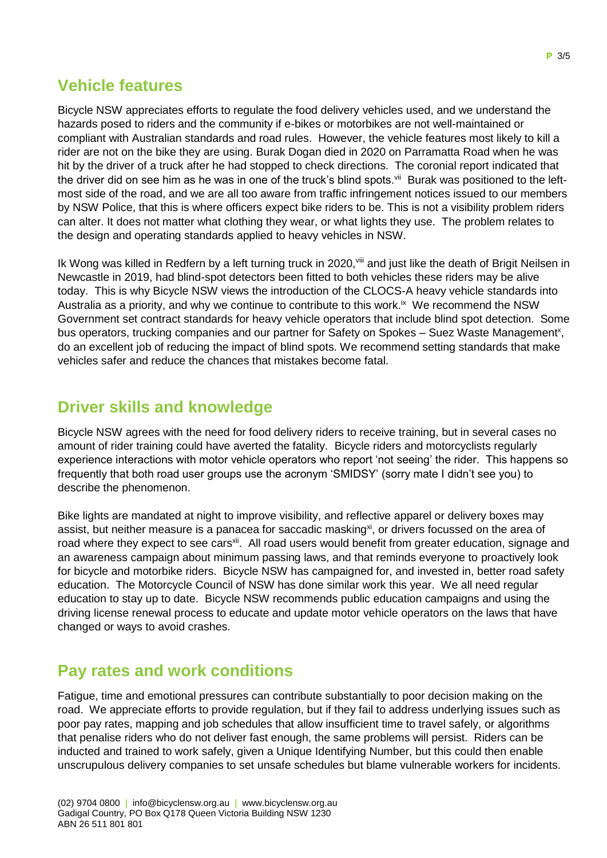# **Vehicle features**

Bicycle NSW appreciates efforts to regulate the food delivery vehicles used, and we understand the hazards posed to riders and the community if e-bikes or motorbikes are not well-maintained or compliant with Australian standards and road rules. However, the vehicle features most likely to kill a rider are not on the bike they are using. Burak Dogan died in 2020 on Parramatta Road when he was hit by the driver of a truck after he had stopped to check directions. The coronial report indicated that the driver did on see him as he was in one of the truck's blind spots.<sup>vii</sup> Burak was positioned to the leftmost side of the road, and we are all too aware from traffic infringement notices issued to our members by NSW Police, that this is where officers expect bike riders to be. This is not a visibility problem riders can alter. It does not matter what clothing they wear, or what lights they use. The problem relates to the design and operating standards applied to heavy vehicles in NSW.

Ik Wong was killed in Redfern by a left turning truck in 2020, vill and just like the death of Brigit Neilsen in Newcastle in 2019, had blind-spot detectors been fitted to both vehicles these riders may be alive today. This is why Bicycle NSW views the introduction of the CLOCS-A heavy vehicle standards into Australia as a priority, and why we continue to contribute to this work. $\dot{x}$  We recommend the NSW Government set contract standards for heavy vehicle operators that include blind spot detection. Some bus operators, trucking companies and our partner for Safety on Spokes - Suez Waste Management<sup>x</sup>, do an excellent job of reducing the impact of blind spots. We recommend setting standards that make vehicles safer and reduce the chances that mistakes become fatal.

# **Driver skills and knowledge**

Bicycle NSW agrees with the need for food delivery riders to receive training, but in several cases no amount of rider training could have averted the fatality. Bicycle riders and motorcyclists regularly experience interactions with motor vehicle operators who report 'not seeing' the rider. This happens so frequently that both road user groups use the acronym 'SMIDSY' (sorry mate I didn't see you) to describe the phenomenon.

Bike lights are mandated at night to improve visibility, and reflective apparel or delivery boxes may assist, but neither measure is a panacea for saccadic masking<sup>xi</sup>, or drivers focussed on the area of road where they expect to see cars<sup>xii</sup>. All road users would benefit from greater education, signage and an awareness campaign about minimum passing laws, and that reminds everyone to proactively look for bicycle and motorbike riders. Bicycle NSW has campaigned for, and invested in, better road safety education. The Motorcycle Council of NSW has done similar work this year. We all need regular education to stay up to date. Bicycle NSW recommends public education campaigns and using the driving license renewal process to educate and update motor vehicle operators on the laws that have changed or ways to avoid crashes.

# **Pay rates and work conditions**

Fatigue, time and emotional pressures can contribute substantially to poor decision making on the road. We appreciate efforts to provide regulation, but if they fail to address underlying issues such as poor pay rates, mapping and job schedules that allow insufficient time to travel safely, or algorithms that penalise riders who do not deliver fast enough, the same problems will persist. Riders can be inducted and trained to work safely, given a Unique Identifying Number, but this could then enable unscrupulous delivery companies to set unsafe schedules but blame vulnerable workers for incidents.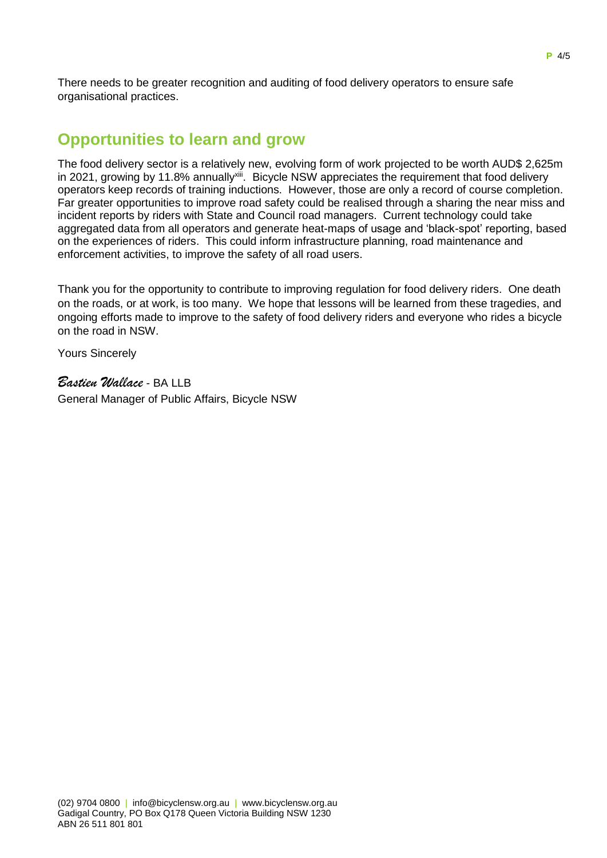There needs to be greater recognition and auditing of food delivery operators to ensure safe organisational practices.

#### **Opportunities to learn and grow**

The food delivery sector is a relatively new, evolving form of work projected to be worth AUD\$ 2,625m in 2021, growing by 11.8% annually<sup>xiii</sup>. Bicycle NSW appreciates the requirement that food delivery operators keep records of training inductions. However, those are only a record of course completion. Far greater opportunities to improve road safety could be realised through a sharing the near miss and incident reports by riders with State and Council road managers. Current technology could take aggregated data from all operators and generate heat-maps of usage and 'black-spot' reporting, based on the experiences of riders. This could inform infrastructure planning, road maintenance and enforcement activities, to improve the safety of all road users.

Thank you for the opportunity to contribute to improving regulation for food delivery riders. One death on the roads, or at work, is too many. We hope that lessons will be learned from these tragedies, and ongoing efforts made to improve to the safety of food delivery riders and everyone who rides a bicycle on the road in NSW.

Yours Sincerely

*Bastien Wallace* - BA LLB General Manager of Public Affairs, Bicycle NSW